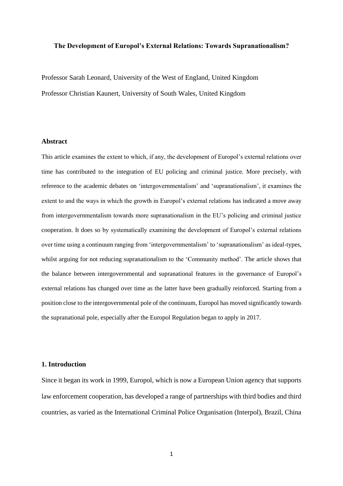#### **The Development of Europol's External Relations: Towards Supranationalism?**

Professor Sarah Leonard, University of the West of England, United Kingdom Professor Christian Kaunert, University of South Wales, United Kingdom

### **Abstract**

This article examines the extent to which, if any, the development of Europol's external relations over time has contributed to the integration of EU policing and criminal justice. More precisely, with reference to the academic debates on 'intergovernmentalism' and 'supranationalism', it examines the extent to and the ways in which the growth in Europol's external relations has indicated a move away from intergovernmentalism towards more supranationalism in the EU's policing and criminal justice cooperation. It does so by systematically examining the development of Europol's external relations over time using a continuum ranging from 'intergovernmentalism' to 'supranationalism' as ideal-types, whilst arguing for not reducing supranationalism to the 'Community method'. The article shows that the balance between intergovernmental and supranational features in the governance of Europol's external relations has changed over time as the latter have been gradually reinforced. Starting from a position close to the intergovernmental pole of the continuum, Europol has moved significantly towards the supranational pole, especially after the Europol Regulation began to apply in 2017.

# **1. Introduction**

Since it began its work in 1999, Europol, which is now a European Union agency that supports law enforcement cooperation, has developed a range of partnerships with third bodies and third countries, as varied as the International Criminal Police Organisation (Interpol), Brazil, China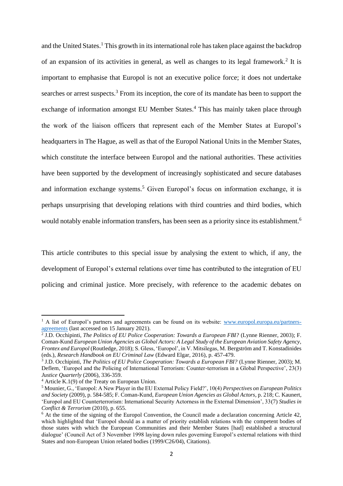and the United States.<sup>1</sup> This growth in its international role has taken place against the backdrop of an expansion of its activities in general, as well as changes to its legal framework.<sup>2</sup> It is important to emphasise that Europol is not an executive police force; it does not undertake searches or arrest suspects.<sup>3</sup> From its inception, the core of its mandate has been to support the exchange of information amongst EU Member States.<sup>4</sup> This has mainly taken place through the work of the liaison officers that represent each of the Member States at Europol's headquarters in The Hague, as well as that of the Europol National Units in the Member States, which constitute the interface between Europol and the national authorities. These activities have been supported by the development of increasingly sophisticated and secure databases and information exchange systems.<sup>5</sup> Given Europol's focus on information exchange, it is perhaps unsurprising that developing relations with third countries and third bodies, which would notably enable information transfers, has been seen as a priority since its establishment.<sup>6</sup>

This article contributes to this special issue by analysing the extent to which, if any, the development of Europol's external relations over time has contributed to the integration of EU policing and criminal justice. More precisely, with reference to the academic debates on

 $<sup>1</sup>$  A list of Europol's partners and agreements can be found on its website: www.europol.europa.eu/partners-</sup> [agreements](http://www.europol.europa.eu/partners-agreements) (last accessed on 15 January 2021).

<sup>2</sup> J.D. Occhipinti, *The Politics of EU Police Cooperation: Towards a European FBI?* (Lynne Rienner, 2003); F. Coman-Kund *European Union Agencies as Global Actors: A Legal Study of the European Aviation Safety Agency, Frontex and Europol* (Routledge, 2018); S. Gless, 'Europol', in V. Mitsilegas, M. Bergström and T. Konstadinides (eds.), *Research Handbook on EU Criminal Law* (Edward Elgar, 2016), p. 457-479.

<sup>3</sup> J.D. Occhipinti, *The Politics of EU Police Cooperation: Towards a European FBI?* (Lynne Rienner, 2003); M. Deflem, 'Europol and the Policing of International Terrorism: Counter-terrorism in a Global Perspective', 23(3) *Justice Quarterly* (2006), 336-359.

<sup>4</sup> Article K.1(9) of the Treaty on European Union.

<sup>5</sup> Mounier, G., 'Europol: A New Player in the EU External Policy Field?', 10(4) *Perspectives on European Politics and Society* (2009), p. 584-585; F. Coman-Kund, *European Union Agencies as Global Actors*, p. 218; C. Kaunert, 'Europol and EU Counterterrorism: International Security Actorness in the External Dimension', 33(7) *Studies in Conflict & Terrorism* (2010), p. 655.

 $6$  At the time of the signing of the Europol Convention, the Council made a declaration concerning Article 42. which highlighted that 'Europol should as a matter of priority establish relations with the competent bodies of those states with which the European Communities and their Member States [had] established a structural dialogue' (Council Act of 3 November 1998 laying down rules governing Europol's external relations with third States and non-European Union related bodies (1999/C26/04), Citations).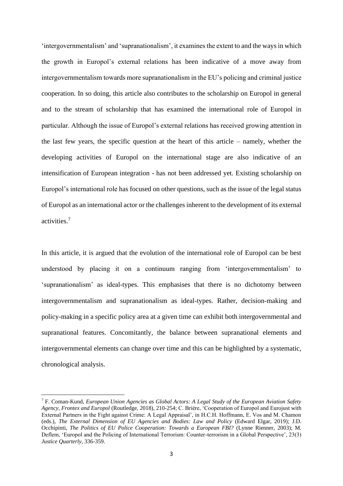'intergovernmentalism' and 'supranationalism', it examines the extent to and the ways in which the growth in Europol's external relations has been indicative of a move away from intergovernmentalism towards more supranationalism in the EU's policing and criminal justice cooperation. In so doing, this article also contributes to the scholarship on Europol in general and to the stream of scholarship that has examined the international role of Europol in particular. Although the issue of Europol's external relations has received growing attention in the last few years, the specific question at the heart of this article – namely, whether the developing activities of Europol on the international stage are also indicative of an intensification of European integration - has not been addressed yet. Existing scholarship on Europol's international role has focused on other questions, such as the issue of the legal status of Europol as an international actor or the challenges inherent to the development of its external activities.<sup>7</sup>

In this article, it is argued that the evolution of the international role of Europol can be best understood by placing it on a continuum ranging from 'intergovernmentalism' to 'supranationalism' as ideal-types. This emphasises that there is no dichotomy between intergovernmentalism and supranationalism as ideal-types. Rather, decision-making and policy-making in a specific policy area at a given time can exhibit both intergovernmental and supranational features. Concomitantly, the balance between supranational elements and intergovernmental elements can change over time and this can be highlighted by a systematic, chronological analysis.

<sup>7</sup> F. Coman-Kund, *European Union Agencies as Global Actors: A Legal Study of the European Aviation Safety Agency, Frontex and Europol* (Routledge, 2018), 210-254; C. Brière, 'Cooperation of Europol and Eurojust with External Partners in the Fight against Crime: A Legal Appraisal', in H.C.H. Hoffmann, E. Vos and M. Chamon (eds.), *The External Dimension of EU Agencies and Bodies: Law and Policy* (Edward Elgar, 2019); J.D. Occhipinti, *The Politics of EU Police Cooperation: Towards a European FBI?* (Lynne Rienner, 2003); M. Deflem, 'Europol and the Policing of International Terrorism: Counter-terrorism in a Global Perspective', 23(3) *Justice Quarterly*, 336-359.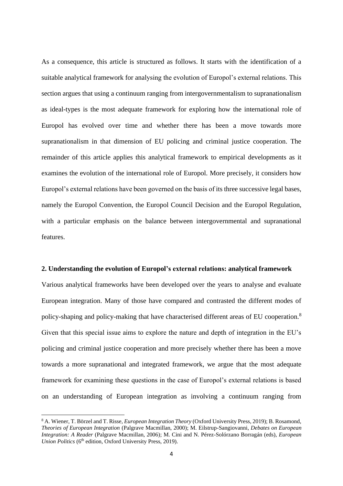As a consequence, this article is structured as follows. It starts with the identification of a suitable analytical framework for analysing the evolution of Europol's external relations. This section argues that using a continuum ranging from intergovernmentalism to supranationalism as ideal-types is the most adequate framework for exploring how the international role of Europol has evolved over time and whether there has been a move towards more supranationalism in that dimension of EU policing and criminal justice cooperation. The remainder of this article applies this analytical framework to empirical developments as it examines the evolution of the international role of Europol. More precisely, it considers how Europol's external relations have been governed on the basis of its three successive legal bases, namely the Europol Convention, the Europol Council Decision and the Europol Regulation, with a particular emphasis on the balance between intergovernmental and supranational features.

#### **2. Understanding the evolution of Europol's external relations: analytical framework**

Various analytical frameworks have been developed over the years to analyse and evaluate European integration. Many of those have compared and contrasted the different modes of policy-shaping and policy-making that have characterised different areas of EU cooperation.<sup>8</sup> Given that this special issue aims to explore the nature and depth of integration in the EU's policing and criminal justice cooperation and more precisely whether there has been a move towards a more supranational and integrated framework, we argue that the most adequate framework for examining these questions in the case of Europol's external relations is based on an understanding of European integration as involving a continuum ranging from

<sup>8</sup> A. Wiener, T. Börzel and T. Risse, *European Integration Theory* (Oxford University Press, 2019); B. Rosamond, *Theories of European Integration* (Palgrave Macmillan, 2000); M. Eilstrup-Sangiovanni, *Debates on European Integration: A Reader* (Palgrave Macmillan, 2006); M. Cini and N. Pérez-Solórzano Borragán (eds), *European Union Politics* (6<sup>th</sup> edition, Oxford University Press, 2019).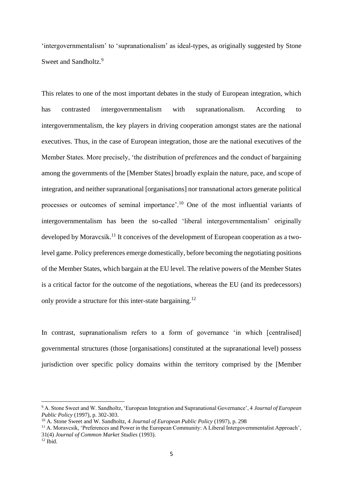'intergovernmentalism' to 'supranationalism' as ideal-types, as originally suggested by Stone Sweet and Sandholtz.<sup>9</sup>

This relates to one of the most important debates in the study of European integration, which has contrasted intergovernmentalism with supranationalism. According to intergovernmentalism, the key players in driving cooperation amongst states are the national executives. Thus, in the case of European integration, those are the national executives of the Member States. More precisely, 'the distribution of preferences and the conduct of bargaining among the governments of the [Member States] broadly explain the nature, pace, and scope of integration, and neither supranational [organisations] nor transnational actors generate political processes or outcomes of seminal importance'.<sup>10</sup> One of the most influential variants of intergovernmentalism has been the so-called 'liberal intergovernmentalism' originally developed by Moravcsik.<sup>11</sup> It conceives of the development of European cooperation as a twolevel game. Policy preferences emerge domestically, before becoming the negotiating positions of the Member States, which bargain at the EU level. The relative powers of the Member States is a critical factor for the outcome of the negotiations, whereas the EU (and its predecessors) only provide a structure for this inter-state bargaining.<sup>12</sup>

In contrast, supranationalism refers to a form of governance 'in which [centralised] governmental structures (those [organisations] constituted at the supranational level) possess jurisdiction over specific policy domains within the territory comprised by the [Member]

<sup>9</sup> A. Stone Sweet and W. Sandholtz, 'European Integration and Supranational Governance', 4 *Journal of European Public Policy* (1997), p. 302-303.

<sup>10</sup> A. Stone Sweet and W. Sandholtz, 4 *Journal of European Public Policy* (1997), p. 298

<sup>11</sup> A. Moravcsik, 'Preferences and Power in the European Community: A Liberal Intergovernmentalist Approach', 31(4) *Journal of Common Market Studies* (1993).

 $12$  Ibid.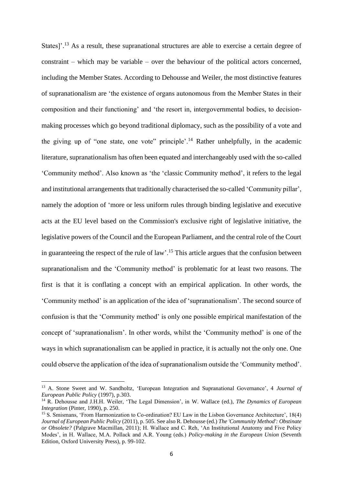States]'.<sup>13</sup> As a result, these supranational structures are able to exercise a certain degree of constraint – which may be variable – over the behaviour of the political actors concerned, including the Member States. According to Dehousse and Weiler, the most distinctive features of supranationalism are 'the existence of organs autonomous from the Member States in their composition and their functioning' and 'the resort in, intergovernmental bodies, to decisionmaking processes which go beyond traditional diplomacy, such as the possibility of a vote and the giving up of "one state, one vote" principle'.<sup>14</sup> Rather unhelpfully, in the academic literature, supranationalism has often been equated and interchangeably used with the so-called 'Community method'. Also known as 'the 'classic Community method', it refers to the legal and institutional arrangements that traditionally characterised the so-called 'Community pillar', namely the adoption of 'more or less uniform rules through binding legislative and executive acts at the EU level based on the Commission's exclusive right of legislative initiative, the legislative powers of the Council and the European Parliament, and the central role of the Court in guaranteeing the respect of the rule of law'.<sup>15</sup> This article argues that the confusion between supranationalism and the 'Community method' is problematic for at least two reasons. The first is that it is conflating a concept with an empirical application. In other words, the 'Community method' is an application of the idea of 'supranationalism'. The second source of confusion is that the 'Community method' is only one possible empirical manifestation of the concept of 'supranationalism'. In other words, whilst the 'Community method' is one of the ways in which supranationalism can be applied in practice, it is actually not the only one. One could observe the application of the idea of supranationalism outside the 'Community method'.

<sup>13</sup> A. Stone Sweet and W. Sandholtz, 'European Integration and Supranational Governance', 4 *Journal of European Public Policy* (1997), p.303.

<sup>14</sup> R. Dehousse and J.H.H. Weiler, 'The Legal Dimension', in W. Wallace (ed.), *The Dynamics of European Integration* (Pinter, 1990), p. 250.

<sup>15</sup> S. Smismans, 'From Harmonization to Co-ordination? EU Law in the Lisbon Governance Architecture', 18(4) *Journal of European Public Policy* (2011), p. 505. See also R. Dehousse (ed.) *The 'Community Method': Obstinate or Obsolete?* (Palgrave Macmillan, 2011); H. Wallace and C. Reh, 'An Institutional Anatomy and Five Policy Modes', in H. Wallace, M.A. Pollack and A.R. Young (eds.) *Policy-making in the European Union* (Seventh Edition, Oxford University Press), p. 99-102.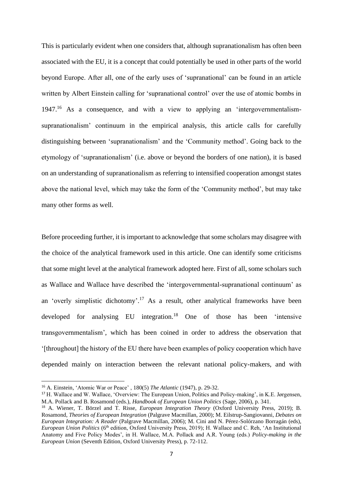This is particularly evident when one considers that, although supranationalism has often been associated with the EU, it is a concept that could potentially be used in other parts of the world beyond Europe. After all, one of the early uses of 'supranational' can be found in an article written by Albert Einstein calling for 'supranational control' over the use of atomic bombs in 1947.<sup>16</sup> As a consequence, and with a view to applying an 'intergovernmentalismsupranationalism' continuum in the empirical analysis, this article calls for carefully distinguishing between 'supranationalism' and the 'Community method'. Going back to the etymology of 'supranationalism' (i.e. above or beyond the borders of one nation), it is based on an understanding of supranationalism as referring to intensified cooperation amongst states above the national level, which may take the form of the 'Community method', but may take many other forms as well.

Before proceeding further, it is important to acknowledge that some scholars may disagree with the choice of the analytical framework used in this article. One can identify some criticisms that some might level at the analytical framework adopted here. First of all, some scholars such as Wallace and Wallace have described the 'intergovernmental-supranational continuum' as an 'overly simplistic dichotomy'.<sup>17</sup> As a result, other analytical frameworks have been developed for analysing EU integration. <sup>18</sup> One of those has been 'intensive transgovernmentalism', which has been coined in order to address the observation that '[throughout] the history of the EU there have been examples of policy cooperation which have depended mainly on interaction between the relevant national policy-makers, and with

<sup>16</sup> A. Einstein, 'Atomic War or Peace' , 180(5) *The Atlantic* (1947), p. 29-32.

<sup>17</sup> H. Wallace and W. Wallace, 'Overview: The European Union, Politics and Policy-making', in K.E. Jørgensen, M.A. Pollack and B. Rosamond (eds.), *Handbook of European Union Politics* (Sage, 2006), p. 341.

<sup>18</sup> A. Wiener, T. Börzel and T. Risse, *European Integration Theory* (Oxford University Press, 2019); B. Rosamond, *Theories of European Integration* (Palgrave Macmillan, 2000); M. Eilstrup-Sangiovanni, *Debates on European Integration: A Reader* (Palgrave Macmillan, 2006); M. Cini and N. Pérez-Solórzano Borragán (eds), *European Union Politics* (6<sup>th</sup> edition, Oxford University Press, 2019); H. Wallace and C. Reh, 'An Institutional Anatomy and Five Policy Modes', in H. Wallace, M.A. Pollack and A.R. Young (eds.) *Policy-making in the European Union* (Seventh Edition, Oxford University Press), p. 72-112.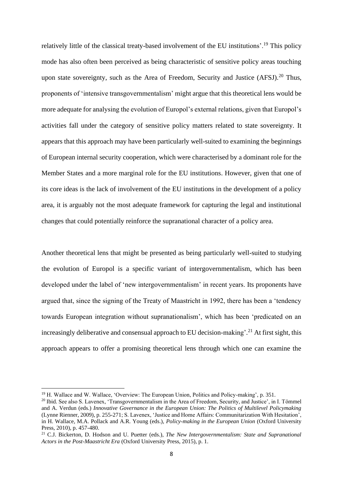relatively little of the classical treaty-based involvement of the EU institutions'.<sup>19</sup> This policy mode has also often been perceived as being characteristic of sensitive policy areas touching upon state sovereignty, such as the Area of Freedom, Security and Justice (AFSJ).<sup>20</sup> Thus, proponents of 'intensive transgovernmentalism' might argue that this theoretical lens would be more adequate for analysing the evolution of Europol's external relations, given that Europol's activities fall under the category of sensitive policy matters related to state sovereignty. It appears that this approach may have been particularly well-suited to examining the beginnings of European internal security cooperation, which were characterised by a dominant role for the Member States and a more marginal role for the EU institutions. However, given that one of its core ideas is the lack of involvement of the EU institutions in the development of a policy area, it is arguably not the most adequate framework for capturing the legal and institutional changes that could potentially reinforce the supranational character of a policy area.

Another theoretical lens that might be presented as being particularly well-suited to studying the evolution of Europol is a specific variant of intergovernmentalism, which has been developed under the label of 'new intergovernmentalism' in recent years. Its proponents have argued that, since the signing of the Treaty of Maastricht in 1992, there has been a 'tendency towards European integration without supranationalism', which has been 'predicated on an increasingly deliberative and consensual approach to EU decision-making'.<sup>21</sup> At first sight, this approach appears to offer a promising theoretical lens through which one can examine the

<sup>19</sup> H. Wallace and W. Wallace, 'Overview: The European Union, Politics and Policy-making', p. 351.

<sup>&</sup>lt;sup>20</sup> Ibid. See also S. Lavenex, 'Transgovernmentalism in the Area of Freedom, Security, and Justice', in I. Tömmel and A. Verdun (eds.) *Innovative Governance in the European Union: The Politics of Multilevel Policymaking* (Lynne Rienner, 2009), p. 255-271; S. Lavenex, 'Justice and Home Affairs: Communitarization With Hesitation', in H. Wallace, M.A. Pollack and A.R. Young (eds.), *Policy-making in the European Union* (Oxford University Press, 2010), p. 457-480.

<sup>21</sup> C.J. Bickerton, D. Hodson and U. Puetter (eds.), *The New Intergovernmentalism: State and Supranational Actors in the Post-Maastricht Era* (Oxford University Press, 2015), p. 1.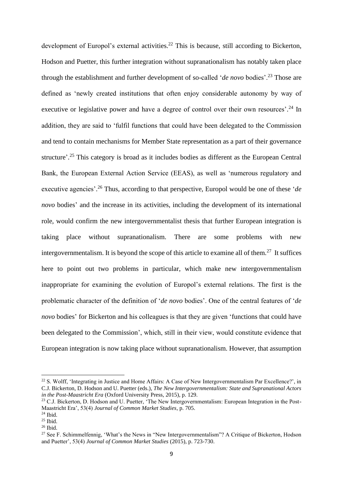development of Europol's external activities.<sup>22</sup> This is because, still according to Bickerton, Hodson and Puetter, this further integration without supranationalism has notably taken place through the establishment and further development of so-called '*de novo* bodies'.<sup>23</sup> Those are defined as 'newly created institutions that often enjoy considerable autonomy by way of executive or legislative power and have a degree of control over their own resources'.<sup>24</sup> In addition, they are said to 'fulfil functions that could have been delegated to the Commission and tend to contain mechanisms for Member State representation as a part of their governance structure'.<sup>25</sup> This category is broad as it includes bodies as different as the European Central Bank, the European External Action Service (EEAS), as well as 'numerous regulatory and executive agencies'.<sup>26</sup> Thus, according to that perspective, Europol would be one of these '*de novo* bodies' and the increase in its activities, including the development of its international role, would confirm the new intergovernmentalist thesis that further European integration is taking place without supranationalism. There are some problems with new intergovernmentalism. It is beyond the scope of this article to examine all of them.<sup>27</sup> It suffices here to point out two problems in particular, which make new intergovernmentalism inappropriate for examining the evolution of Europol's external relations. The first is the problematic character of the definition of '*de novo* bodies'. One of the central features of '*de novo* bodies' for Bickerton and his colleagues is that they are given 'functions that could have been delegated to the Commission', which, still in their view, would constitute evidence that European integration is now taking place without supranationalism. However, that assumption

<sup>&</sup>lt;sup>22</sup> S. Wolff, 'Integrating in Justice and Home Affairs: A Case of New Intergovernmentalism Par Excellence?', in C.J. Bickerton, D. Hodson and U. Puetter (eds.), *The New Intergovernmentalism: State and Supranational Actors in the Post-Maastricht Era* (Oxford University Press, 2015), p. 129.

<sup>&</sup>lt;sup>23</sup> C.J. Bickerton, D. Hodson and U. Puetter, 'The New Intergovernmentalism: European Integration in the Post-Maastricht Era', 53(4) *Journal of Common Market Studies*, p. 705.

<sup>24</sup> Ibid.

<sup>25</sup> Ibid.

 $26$  Ibid.

<sup>&</sup>lt;sup>27</sup> See F. Schimmelfennig, 'What's the News in "New Intergovernmentalism"? A Critique of Bickerton, Hodson and Puetter', 53(4) *Journal of Common Market Studies* (2015), p. 723-730.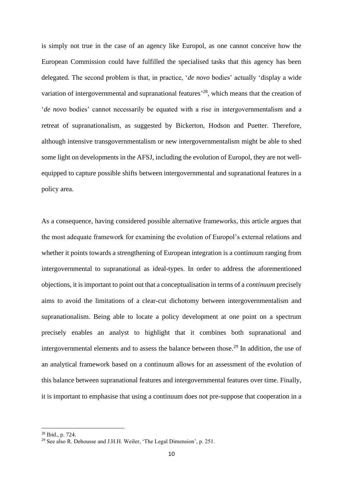is simply not true in the case of an agency like Europol, as one cannot conceive how the European Commission could have fulfilled the specialised tasks that this agency has been delegated. The second problem is that, in practice, '*de novo* bodies' actually 'display a wide variation of intergovernmental and supranational features<sup>28</sup>, which means that the creation of *'de novo* bodies' cannot necessarily be equated with a rise in intergovernmentalism and a retreat of supranationalism, as suggested by Bickerton, Hodson and Puetter. Therefore, although intensive transgovernmentalism or new intergovernmentalism might be able to shed some light on developments in the AFSJ, including the evolution of Europol, they are not wellequipped to capture possible shifts between intergovernmental and supranational features in a policy area.

As a consequence, having considered possible alternative frameworks, this article argues that the most adequate framework for examining the evolution of Europol's external relations and whether it points towards a strengthening of European integration is a continuum ranging from intergovernmental to supranational as ideal-types. In order to address the aforementioned objections, it is important to point out that a conceptualisation in terms of a *continuum* precisely aims to avoid the limitations of a clear-cut dichotomy between intergovernmentalism and supranationalism. Being able to locate a policy development at one point on a spectrum precisely enables an analyst to highlight that it combines both supranational and intergovernmental elements and to assess the balance between those.<sup>29</sup> In addition, the use of an analytical framework based on a continuum allows for an assessment of the evolution of this balance between supranational features and intergovernmental features over time. Finally, it is important to emphasise that using a continuum does not pre-suppose that cooperation in a

<sup>28</sup> Ibid., p. 724.

<sup>&</sup>lt;sup>29</sup> See also R. Dehousse and J.H.H. Weiler, 'The Legal Dimension', p. 251.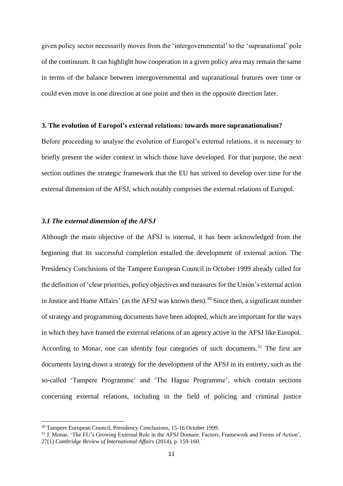given policy sector necessarily moves from the 'intergovernmental' to the 'supranational' pole of the continuum. It can highlight how cooperation in a given policy area may remain the same in terms of the balance between intergovernmental and supranational features over time or could even move in one direction at one point and then in the opposite direction later.

#### **3. The evolution of Europol's external relations: towards more supranationalism?**

Before proceeding to analyse the evolution of Europol's external relations, it is necessary to briefly present the wider context in which those have developed. For that purpose, the next section outlines the strategic framework that the EU has strived to develop over time for the external dimension of the AFSJ, which notably comprises the external relations of Europol.

### *3.1 The external dimension of the AFSJ*

Although the main objective of the AFSJ is internal, it has been acknowledged from the beginning that its successful completion entailed the development of external action. The Presidency Conclusions of the Tampere European Council in October 1999 already called for the definition of 'clear priorities, policy objectives and measures for the Union's external action in Justice and Home Affairs' (as the AFSJ was known then).<sup>30</sup> Since then, a significant number of strategy and programming documents have been adopted, which are important for the ways in which they have framed the external relations of an agency active in the AFSJ like Europol. According to Monar, one can identify four categories of such documents.<sup>31</sup> The first are documents laying down a strategy for the development of the AFSJ in its entirety, such as the so-called 'Tampere Programme' and 'The Hague Programme', which contain sections concerning external relations, including in the field of policing and criminal justice

<sup>30</sup> Tampere European Council, Presidency Conclusions, 15-16 October 1999.

<sup>31</sup> J. Monar, 'The EU's Growing External Role in the AFSJ Domain: Factors, Framework and Forms of Action', 27(1) *Cambridge Review of International Affairs* (2014), p. 159-160.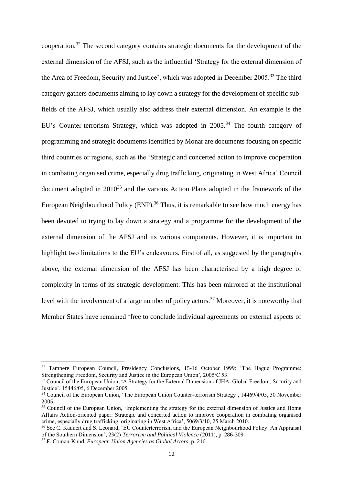cooperation.<sup>32</sup> The second category contains strategic documents for the development of the external dimension of the AFSJ, such as the influential 'Strategy for the external dimension of the Area of Freedom, Security and Justice', which was adopted in December 2005.<sup>33</sup> The third category gathers documents aiming to lay down a strategy for the development of specific subfields of the AFSJ, which usually also address their external dimension. An example is the EU's Counter-terrorism Strategy, which was adopted in 2005.<sup>34</sup> The fourth category of programming and strategic documents identified by Monar are documents focusing on specific third countries or regions, such as the 'Strategic and concerted action to improve cooperation in combating organised crime, especially drug trafficking, originating in West Africa' Council document adopted in  $2010^{35}$  and the various Action Plans adopted in the framework of the European Neighbourhood Policy (ENP).<sup>36</sup> Thus, it is remarkable to see how much energy has been devoted to trying to lay down a strategy and a programme for the development of the external dimension of the AFSJ and its various components. However, it is important to highlight two limitations to the EU's endeavours. First of all, as suggested by the paragraphs above, the external dimension of the AFSJ has been characterised by a high degree of complexity in terms of its strategic development. This has been mirrored at the institutional level with the involvement of a large number of policy actors.<sup>37</sup> Moreover, it is noteworthy that Member States have remained 'free to conclude individual agreements on external aspects of

<sup>&</sup>lt;sup>32</sup> Tampere European Council, Presidency Conclusions, 15-16 October 1999; 'The Hague Programme: Strengthening Freedom, Security and Justice in the European Union', 2005/C 53.

<sup>&</sup>lt;sup>33</sup> Council of the European Union, 'A Strategy for the External Dimension of JHA: Global Freedom, Security and Justice', 15446/05, 6 December 2005.

<sup>34</sup> Council of the European Union, 'The European Union Counter-terrorism Strategy', 14469/4/05, 30 November 2005.

<sup>&</sup>lt;sup>35</sup> Council of the European Union, 'Implementing the strategy for the external dimension of Justice and Home Affairs Action-oriented paper: Strategic and concerted action to improve cooperation in combating organised crime, especially drug trafficking, originating in West Africa', 5069/3/10, 25 March 2010.

<sup>36</sup> See C. Kaunert and S. Leonard, 'EU Counterterrorism and the European Neighbourhood Policy: An Appraisal of the Southern Dimension', 23(2) *Terrorism and Political Violence* (2011), p. 286-309.

<sup>37</sup> F. Coman-Kund, *European Union Agencies as Global Actors*, p. 216.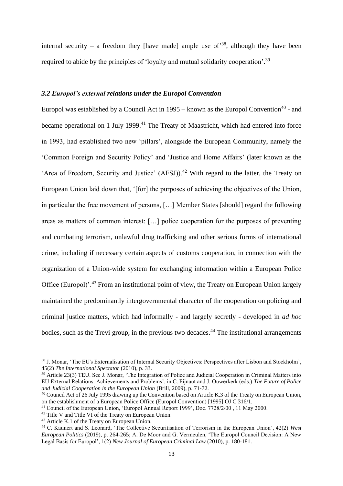internal security – a freedom they [have made] ample use of <sup>38</sup>, although they have been required to abide by the principles of 'loyalty and mutual solidarity cooperation'.<sup>39</sup>

# *3.2 Europol's external relations under the Europol Convention*

Europol was established by a Council Act in  $1995 -$ known as the Europol Convention<sup>40</sup> - and became operational on 1 July 1999.<sup>41</sup> The Treaty of Maastricht, which had entered into force in 1993, had established two new 'pillars', alongside the European Community, namely the 'Common Foreign and Security Policy' and 'Justice and Home Affairs' (later known as the 'Area of Freedom, Security and Justice' (AFSJ).<sup>42</sup> With regard to the latter, the Treaty on European Union laid down that, '[for] the purposes of achieving the objectives of the Union, in particular the free movement of persons, […] Member States [should] regard the following areas as matters of common interest: […] police cooperation for the purposes of preventing and combating terrorism, unlawful drug trafficking and other serious forms of international crime, including if necessary certain aspects of customs cooperation, in connection with the organization of a Union-wide system for exchanging information within a European Police Office (Europol)'.<sup>43</sup> From an institutional point of view, the Treaty on European Union largely maintained the predominantly intergovernmental character of the cooperation on policing and criminal justice matters, which had informally - and largely secretly - developed in *ad hoc* bodies, such as the Trevi group, in the previous two decades.<sup>44</sup> The institutional arrangements

<sup>38</sup> J. Monar, 'The EU's Externalisation of Internal Security Objectives: Perspectives after Lisbon and Stockholm', 45(2) *The International Spectator* (2010), p. 33.

<sup>&</sup>lt;sup>39</sup> Article 23(3) TEU. See J. Monar, 'The Integration of Police and Judicial Cooperation in Criminal Matters into EU External Relations: Achievements and Problems', in C. Fijnaut and J. Ouwerkerk (eds.) *The Future of Police and Judicial Cooperation in the European Union* (Brill, 2009), p. 71-72.

<sup>&</sup>lt;sup>40</sup> Council Act of 26 July 1995 drawing up the Convention based on Article K.3 of the Treaty on European Union. on the establishment of a European Police Office (Europol Convention) [1995] OJ C 316/1.

<sup>41</sup> Council of the European Union, 'Europol Annual Report 1999', Doc. 7728/2/00 , 11 May 2000.

 $42$  Title V and Title VI of the Treaty on European Union.

<sup>43</sup> Article K.1 of the Treaty on European Union.

<sup>44</sup> C. Kaunert and S. Leonard, 'The Collective Securitisation of Terrorism in the European Union', 42(2) *West European Politics* (2019), p. 264-265; A. De Moor and G. Vermeulen, 'The Europol Council Decision: A New Legal Basis for Europol', 1(2) *New Journal of European Criminal Law* (2010), p. 180-181.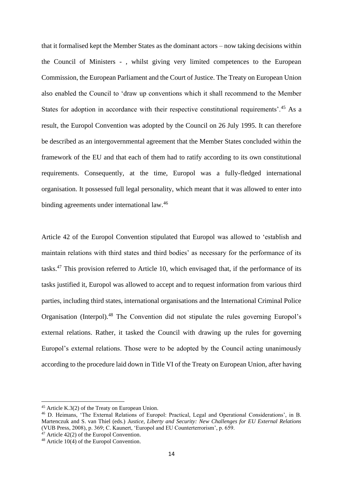that it formalised kept the Member States as the dominant actors – now taking decisions within the Council of Ministers - , whilst giving very limited competences to the European Commission, the European Parliament and the Court of Justice. The Treaty on European Union also enabled the Council to 'draw up conventions which it shall recommend to the Member States for adoption in accordance with their respective constitutional requirements'.<sup>45</sup> As a result, the Europol Convention was adopted by the Council on 26 July 1995. It can therefore be described as an intergovernmental agreement that the Member States concluded within the framework of the EU and that each of them had to ratify according to its own constitutional requirements. Consequently, at the time, Europol was a fully-fledged international organisation. It possessed full legal personality, which meant that it was allowed to enter into binding agreements under international law.<sup>46</sup>

Article 42 of the Europol Convention stipulated that Europol was allowed to 'establish and maintain relations with third states and third bodies' as necessary for the performance of its tasks.<sup>47</sup> This provision referred to Article 10, which envisaged that, if the performance of its tasks justified it, Europol was allowed to accept and to request information from various third parties, including third states, international organisations and the International Criminal Police Organisation (Interpol).<sup>48</sup> The Convention did not stipulate the rules governing Europol's external relations. Rather, it tasked the Council with drawing up the rules for governing Europol's external relations. Those were to be adopted by the Council acting unanimously according to the procedure laid down in Title VI of the Treaty on European Union, after having

 $47$  Article 42(2) of the Europol Convention.

<sup>45</sup> Article K.3(2) of the Treaty on European Union.

<sup>46</sup> D. Heimans, 'The External Relations of Europol: Practical, Legal and Operational Considerations', in B. Martenczuk and S. van Thiel (eds.) *Justice, Liberty and Security: New Challenges for EU External Relations* (VUB Press, 2008), p. 369; C. Kaunert, 'Europol and EU Counterterrorism', p. 659.

 $48$  Article 10(4) of the Europol Convention.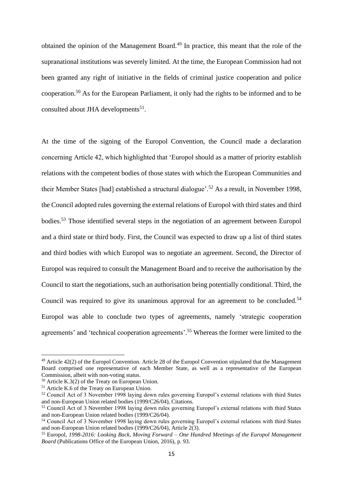obtained the opinion of the Management Board.<sup>49</sup> In practice, this meant that the role of the supranational institutions was severely limited. At the time, the European Commission had not been granted any right of initiative in the fields of criminal justice cooperation and police cooperation.<sup>50</sup> As for the European Parliament, it only had the rights to be informed and to be consulted about JHA developments<sup>51</sup>.

At the time of the signing of the Europol Convention, the Council made a declaration concerning Article 42, which highlighted that 'Europol should as a matter of priority establish relations with the competent bodies of those states with which the European Communities and their Member States [had] established a structural dialogue'.<sup>52</sup> As a result, in November 1998, the Council adopted rules governing the external relations of Europol with third states and third bodies.<sup>53</sup> Those identified several steps in the negotiation of an agreement between Europol and a third state or third body. First, the Council was expected to draw up a list of third states and third bodies with which Europol was to negotiate an agreement. Second, the Director of Europol was required to consult the Management Board and to receive the authorisation by the Council to start the negotiations, such an authorisation being potentially conditional. Third, the Council was required to give its unanimous approval for an agreement to be concluded.<sup>54</sup> Europol was able to conclude two types of agreements, namely 'strategic cooperation agreements' and 'technical cooperation agreements'.<sup>55</sup> Whereas the former were limited to the

<sup>49</sup> Article 42(2) of the Europol Convention. Article 28 of the Europol Convention stipulated that the Management Board comprised one representative of each Member State, as well as a representative of the European Commission, albeit with non-voting status.

 $50$  Article K.3(2) of the Treaty on European Union.

<sup>51</sup> Article K.6 of the Treaty on European Union.

<sup>&</sup>lt;sup>52</sup> Council Act of 3 November 1998 laying down rules governing Europol's external relations with third States and non-European Union related bodies (1999/C26/04), Citations.

<sup>&</sup>lt;sup>53</sup> Council Act of 3 November 1998 laying down rules governing Europol's external relations with third States and non-European Union related bodies (1999/C26/04).

<sup>54</sup> Council Act of 3 November 1998 laying down rules governing Europol's external relations with third States and non-European Union related bodies (1999/C26/04), Article 2(3).

<sup>55</sup> Europol, *1998-2016: Looking Back, Moving Forward – One Hundred Meetings of the Europol Management Board* (Publications Office of the European Union, 2016), p. 93.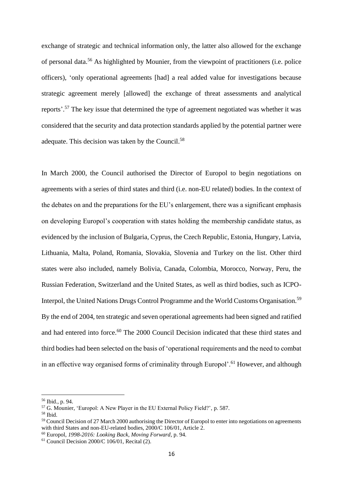exchange of strategic and technical information only, the latter also allowed for the exchange of personal data.<sup>56</sup> As highlighted by Mounier, from the viewpoint of practitioners (i.e. police officers), 'only operational agreements [had] a real added value for investigations because strategic agreement merely [allowed] the exchange of threat assessments and analytical reports'.<sup>57</sup> The key issue that determined the type of agreement negotiated was whether it was considered that the security and data protection standards applied by the potential partner were adequate. This decision was taken by the Council.<sup>58</sup>

In March 2000, the Council authorised the Director of Europol to begin negotiations on agreements with a series of third states and third (i.e. non-EU related) bodies. In the context of the debates on and the preparations for the EU's enlargement, there was a significant emphasis on developing Europol's cooperation with states holding the membership candidate status, as evidenced by the inclusion of Bulgaria, Cyprus, the Czech Republic, Estonia, Hungary, Latvia, Lithuania, Malta, Poland, Romania, Slovakia, Slovenia and Turkey on the list. Other third states were also included, namely Bolivia, Canada, Colombia, Morocco, Norway, Peru, the Russian Federation, Switzerland and the United States, as well as third bodies, such as ICPO-Interpol, the United Nations Drugs Control Programme and the World Customs Organisation.<sup>59</sup> By the end of 2004, ten strategic and seven operational agreements had been signed and ratified and had entered into force.<sup>60</sup> The 2000 Council Decision indicated that these third states and third bodies had been selected on the basis of 'operational requirements and the need to combat in an effective way organised forms of criminality through Europol'.<sup>61</sup> However, and although

<sup>56</sup> Ibid., p. 94.

<sup>57</sup> G. Mounier, 'Europol: A New Player in the EU External Policy Field?', p. 587.

<sup>58</sup> Ibid.

<sup>59</sup> Council Decision of 27 March 2000 authorising the Director of Europol to enter into negotiations on agreements with third States and non-EU-related bodies, 2000/C 106/01, Article 2.

<sup>60</sup> Europol, *1998-2016: Looking Back, Moving Forward*, p. 94.

 $61$  Council Decision 2000/C 106/01, Recital  $(2)$ .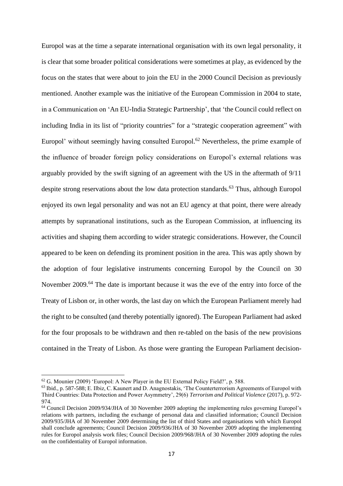Europol was at the time a separate international organisation with its own legal personality, it is clear that some broader political considerations were sometimes at play, as evidenced by the focus on the states that were about to join the EU in the 2000 Council Decision as previously mentioned. Another example was the initiative of the European Commission in 2004 to state, in a Communication on 'An EU-India Strategic Partnership', that 'the Council could reflect on including India in its list of "priority countries" for a "strategic cooperation agreement" with Europol' without seemingly having consulted Europol.<sup>62</sup> Nevertheless, the prime example of the influence of broader foreign policy considerations on Europol's external relations was arguably provided by the swift signing of an agreement with the US in the aftermath of 9/11 despite strong reservations about the low data protection standards.<sup>63</sup> Thus, although Europol enjoyed its own legal personality and was not an EU agency at that point, there were already attempts by supranational institutions, such as the European Commission, at influencing its activities and shaping them according to wider strategic considerations. However, the Council appeared to be keen on defending its prominent position in the area. This was aptly shown by the adoption of four legislative instruments concerning Europol by the Council on 30 November 2009.<sup>64</sup> The date is important because it was the eve of the entry into force of the Treaty of Lisbon or, in other words, the last day on which the European Parliament merely had the right to be consulted (and thereby potentially ignored). The European Parliament had asked for the four proposals to be withdrawn and then re-tabled on the basis of the new provisions contained in the Treaty of Lisbon. As those were granting the European Parliament decision-

<sup>62</sup> G. Mounier (2009) 'Europol: A New Player in the EU External Policy Field?', p. 588.

<sup>63</sup> Ibid., p. 587-588; E. Ilbiz, C. Kaunert and D. Anagnostakis, 'The Counterterrorism Agreements of Europol with Third Countries: Data Protection and Power Asymmetry', 29(6) *Terrorism and Political Violence* (2017), p. 972- 974.

<sup>64</sup> Council Decision 2009/934/JHA of 30 November 2009 adopting the implementing rules governing Europol's relations with partners, including the exchange of personal data and classified information; Council Decision 2009/935/JHA of 30 November 2009 determining the list of third States and organisations with which Europol shall conclude agreements; Council Decision 2009/936/JHA of 30 November 2009 adopting the implementing rules for Europol analysis work files; Council Decision 2009/968/JHA of 30 November 2009 adopting the rules on the confidentiality of Europol information.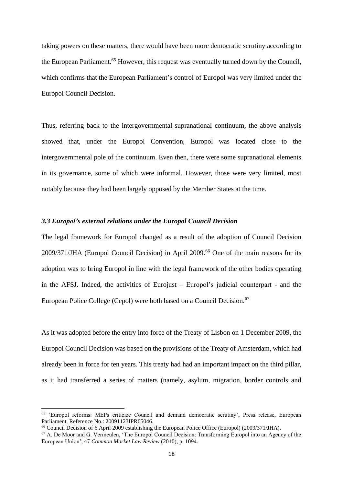taking powers on these matters, there would have been more democratic scrutiny according to the European Parliament.<sup>65</sup> However, this request was eventually turned down by the Council, which confirms that the European Parliament's control of Europol was very limited under the Europol Council Decision.

Thus, referring back to the intergovernmental-supranational continuum, the above analysis showed that, under the Europol Convention, Europol was located close to the intergovernmental pole of the continuum. Even then, there were some supranational elements in its governance, some of which were informal. However, those were very limited, most notably because they had been largely opposed by the Member States at the time.

## *3.3 Europol's external relations under the Europol Council Decision*

The legal framework for Europol changed as a result of the adoption of Council Decision 2009/371/JHA (Europol Council Decision) in April 2009.<sup>66</sup> One of the main reasons for its adoption was to bring Europol in line with the legal framework of the other bodies operating in the AFSJ. Indeed, the activities of Eurojust – Europol's judicial counterpart - and the European Police College (Cepol) were both based on a Council Decision.<sup>67</sup>

As it was adopted before the entry into force of the Treaty of Lisbon on 1 December 2009, the Europol Council Decision was based on the provisions of the Treaty of Amsterdam, which had already been in force for ten years. This treaty had had an important impact on the third pillar, as it had transferred a series of matters (namely, asylum, migration, border controls and

<sup>65</sup> 'Europol reforms: MEPs criticize Council and demand democratic scrutiny', Press release, European Parliament, Reference No.: 20091123IPR65046.

<sup>66</sup> Council Decision of 6 April 2009 establishing the European Police Office (Europol) (2009/371/JHA).

<sup>&</sup>lt;sup>67</sup> A. De Moor and G. Vermeulen, 'The Europol Council Decision: Transforming Europol into an Agency of the European Union', 47 *Common Market Law Review* (2010), p. 1094.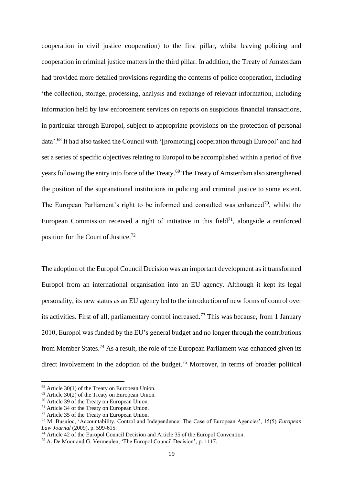cooperation in civil justice cooperation) to the first pillar, whilst leaving policing and cooperation in criminal justice matters in the third pillar. In addition, the Treaty of Amsterdam had provided more detailed provisions regarding the contents of police cooperation, including 'the collection, storage, processing, analysis and exchange of relevant information, including information held by law enforcement services on reports on suspicious financial transactions, in particular through Europol, subject to appropriate provisions on the protection of personal data'.<sup>68</sup> It had also tasked the Council with '[promoting] cooperation through Europol' and had set a series of specific objectives relating to Europol to be accomplished within a period of five years following the entry into force of the Treaty.<sup>69</sup> The Treaty of Amsterdam also strengthened the position of the supranational institutions in policing and criminal justice to some extent. The European Parliament's right to be informed and consulted was enhanced<sup>70</sup>, whilst the European Commission received a right of initiative in this field<sup>71</sup>, alongside a reinforced position for the Court of Justice.<sup>72</sup>

The adoption of the Europol Council Decision was an important development as it transformed Europol from an international organisation into an EU agency. Although it kept its legal personality, its new status as an EU agency led to the introduction of new forms of control over its activities. First of all, parliamentary control increased.<sup>73</sup> This was because, from 1 January 2010, Europol was funded by the EU's general budget and no longer through the contributions from Member States.<sup>74</sup> As a result, the role of the European Parliament was enhanced given its direct involvement in the adoption of the budget.<sup>75</sup> Moreover, in terms of broader political

<sup>68</sup> Article 30(1) of the Treaty on European Union.

 $69$  Article 30(2) of the Treaty on European Union.

<sup>70</sup> Article 39 of the Treaty on European Union.

<sup>71</sup> Article 34 of the Treaty on European Union.

<sup>72</sup> Article 35 of the Treaty on European Union.

<sup>73</sup> M. Busuioc, 'Accountability, Control and Independence: The Case of European Agencies', 15(5) *European Law Journal* (2009), p. 599-615.

<sup>&</sup>lt;sup>74</sup> Article 42 of the Europol Council Decision and Article 35 of the Europol Convention.

<sup>75</sup> A. De Moor and G. Vermeulen, 'The Europol Council Decision', p. 1117.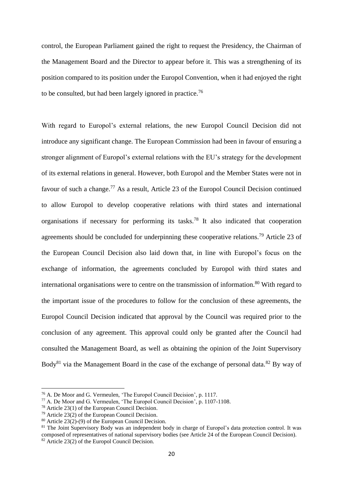control, the European Parliament gained the right to request the Presidency, the Chairman of the Management Board and the Director to appear before it. This was a strengthening of its position compared to its position under the Europol Convention, when it had enjoyed the right to be consulted, but had been largely ignored in practice.<sup>76</sup>

With regard to Europol's external relations, the new Europol Council Decision did not introduce any significant change. The European Commission had been in favour of ensuring a stronger alignment of Europol's external relations with the EU's strategy for the development of its external relations in general. However, both Europol and the Member States were not in favour of such a change.<sup>77</sup> As a result, Article 23 of the Europol Council Decision continued to allow Europol to develop cooperative relations with third states and international organisations if necessary for performing its tasks.<sup>78</sup> It also indicated that cooperation agreements should be concluded for underpinning these cooperative relations.<sup>79</sup> Article 23 of the European Council Decision also laid down that, in line with Europol's focus on the exchange of information, the agreements concluded by Europol with third states and international organisations were to centre on the transmission of information.<sup>80</sup> With regard to the important issue of the procedures to follow for the conclusion of these agreements, the Europol Council Decision indicated that approval by the Council was required prior to the conclusion of any agreement. This approval could only be granted after the Council had consulted the Management Board, as well as obtaining the opinion of the Joint Supervisory Body<sup>81</sup> via the Management Board in the case of the exchange of personal data.<sup>82</sup> By way of

<sup>76</sup> A. De Moor and G. Vermeulen, 'The Europol Council Decision', p. 1117.

<sup>77</sup> A. De Moor and G. Vermeulen, 'The Europol Council Decision', p. 1107-1108.

<sup>78</sup> Article 23(1) of the European Council Decision.

<sup>&</sup>lt;sup>79</sup> Article 23(2) of the European Council Decision.

 $80$  Article 23(2)-(9) of the European Council Decision.

<sup>81</sup> The Joint Supervisory Body was an independent body in charge of Europol's data protection control. It was composed of representatives of national supervisory bodies (see Article 24 of the European Council Decision).  $82$  Article 23(2) of the Europol Council Decision.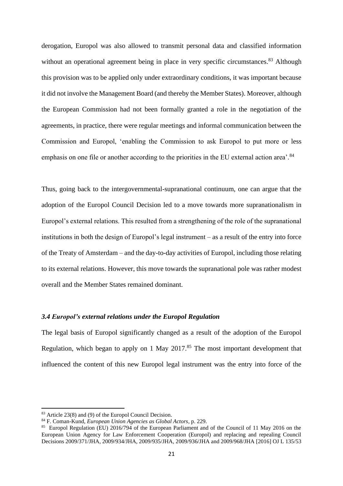derogation, Europol was also allowed to transmit personal data and classified information without an operational agreement being in place in very specific circumstances.<sup>83</sup> Although this provision was to be applied only under extraordinary conditions, it was important because it did not involve the Management Board (and thereby the Member States). Moreover, although the European Commission had not been formally granted a role in the negotiation of the agreements, in practice, there were regular meetings and informal communication between the Commission and Europol, 'enabling the Commission to ask Europol to put more or less emphasis on one file or another according to the priorities in the EU external action area'.<sup>84</sup>

Thus, going back to the intergovernmental-supranational continuum, one can argue that the adoption of the Europol Council Decision led to a move towards more supranationalism in Europol's external relations. This resulted from a strengthening of the role of the supranational institutions in both the design of Europol's legal instrument – as a result of the entry into force of the Treaty of Amsterdam – and the day-to-day activities of Europol, including those relating to its external relations. However, this move towards the supranational pole was rather modest overall and the Member States remained dominant.

## *3.4 Europol's external relations under the Europol Regulation*

The legal basis of Europol significantly changed as a result of the adoption of the Europol Regulation, which began to apply on 1 May  $2017<sup>85</sup>$  The most important development that influenced the content of this new Europol legal instrument was the entry into force of the

<sup>83</sup> Article 23(8) and (9) of the Europol Council Decision.

<sup>84</sup> F. Coman-Kund, *European Union Agencies as Global Actors*, p. 229.

<sup>&</sup>lt;sup>85</sup> Europol Regulation (EU) 2016/794 of the European Parliament and of the Council of 11 May 2016 on the European Union Agency for Law Enforcement Cooperation (Europol) and replacing and repealing Council Decisions 2009/371/JHA, 2009/934/JHA, 2009/935/JHA, 2009/936/JHA and 2009/968/JHA [2016] OJ L 135/53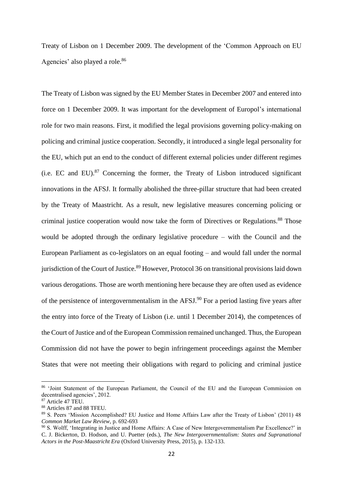Treaty of Lisbon on 1 December 2009. The development of the 'Common Approach on EU Agencies' also played a role.<sup>86</sup>

The Treaty of Lisbon was signed by the EU Member States in December 2007 and entered into force on 1 December 2009. It was important for the development of Europol's international role for two main reasons. First, it modified the legal provisions governing policy-making on policing and criminal justice cooperation. Secondly, it introduced a single legal personality for the EU, which put an end to the conduct of different external policies under different regimes (i.e. EC and EU). $87$  Concerning the former, the Treaty of Lisbon introduced significant innovations in the AFSJ. It formally abolished the three-pillar structure that had been created by the Treaty of Maastricht. As a result, new legislative measures concerning policing or criminal justice cooperation would now take the form of Directives or Regulations.<sup>88</sup> Those would be adopted through the ordinary legislative procedure – with the Council and the European Parliament as co-legislators on an equal footing – and would fall under the normal jurisdiction of the Court of Justice.<sup>89</sup> However, Protocol 36 on transitional provisions laid down various derogations. Those are worth mentioning here because they are often used as evidence of the persistence of intergovernmentalism in the AFSJ.<sup>90</sup> For a period lasting five years after the entry into force of the Treaty of Lisbon (i.e. until 1 December 2014), the competences of the Court of Justice and of the European Commission remained unchanged. Thus, the European Commission did not have the power to begin infringement proceedings against the Member States that were not meeting their obligations with regard to policing and criminal justice

<sup>86 &#</sup>x27;Joint Statement of the European Parliament, the Council of the EU and the European Commission on decentralised agencies', 2012.

<sup>&</sup>lt;sup>87</sup> Article 47 TEU.

<sup>88</sup> Articles 87 and 88 TFEU.

<sup>89</sup> S. Peers 'Mission Accomplished? EU Justice and Home Affairs Law after the Treaty of Lisbon' (2011) 48 *Common Market Law Review*, p. 692-693

<sup>90</sup> S. Wolff, 'Integrating in Justice and Home Affairs: A Case of New Intergovernmentalism Par Excellence?' in C. J. Bickerton, D. Hodson, and U. Puetter (eds.), *The New Intergovernmentalism: States and Supranational Actors in the Post-Maastricht Era* (Oxford University Press, 2015), p. 132-133.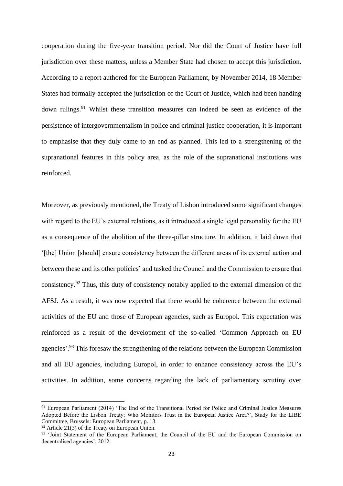cooperation during the five-year transition period. Nor did the Court of Justice have full jurisdiction over these matters, unless a Member State had chosen to accept this jurisdiction. According to a report authored for the European Parliament, by November 2014, 18 Member States had formally accepted the jurisdiction of the Court of Justice, which had been handing down rulings. <sup>91</sup> Whilst these transition measures can indeed be seen as evidence of the persistence of intergovernmentalism in police and criminal justice cooperation, it is important to emphasise that they duly came to an end as planned. This led to a strengthening of the supranational features in this policy area, as the role of the supranational institutions was reinforced.

Moreover, as previously mentioned, the Treaty of Lisbon introduced some significant changes with regard to the EU's external relations, as it introduced a single legal personality for the EU as a consequence of the abolition of the three-pillar structure. In addition, it laid down that '[the] Union [should] ensure consistency between the different areas of its external action and between these and its other policies' and tasked the Council and the Commission to ensure that consistency.<sup>92</sup> Thus, this duty of consistency notably applied to the external dimension of the AFSJ. As a result, it was now expected that there would be coherence between the external activities of the EU and those of European agencies, such as Europol. This expectation was reinforced as a result of the development of the so-called 'Common Approach on EU agencies'.<sup>93</sup> This foresaw the strengthening of the relations between the European Commission and all EU agencies, including Europol, in order to enhance consistency across the EU's activities. In addition, some concerns regarding the lack of parliamentary scrutiny over

<sup>&</sup>lt;sup>91</sup> European Parliament (2014) 'The End of the Transitional Period for Police and Criminal Justice Measures Adopted Before the Lisbon Treaty: Who Monitors Trust in the European Justice Area?', Study for the LIBE Committee, Brussels: European Parliament, p. 13.

 $92$  Article 21(3) of the Treaty on European Union.

<sup>&</sup>lt;sup>93</sup> 'Joint Statement of the European Parliament, the Council of the EU and the European Commission on decentralised agencies', 2012.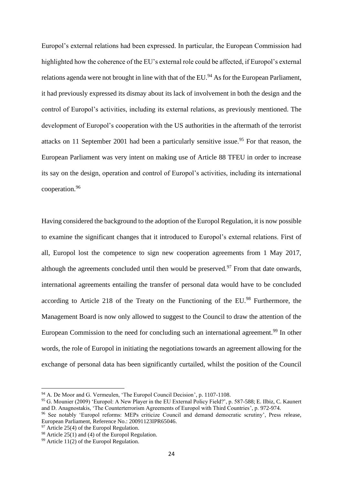Europol's external relations had been expressed. In particular, the European Commission had highlighted how the coherence of the EU's external role could be affected, if Europol's external relations agenda were not brought in line with that of the EU.<sup>94</sup> As for the European Parliament, it had previously expressed its dismay about its lack of involvement in both the design and the control of Europol's activities, including its external relations, as previously mentioned. The development of Europol's cooperation with the US authorities in the aftermath of the terrorist attacks on 11 September 2001 had been a particularly sensitive issue.<sup>95</sup> For that reason, the European Parliament was very intent on making use of Article 88 TFEU in order to increase its say on the design, operation and control of Europol's activities, including its international cooperation.<sup>96</sup>

Having considered the background to the adoption of the Europol Regulation, it is now possible to examine the significant changes that it introduced to Europol's external relations. First of all, Europol lost the competence to sign new cooperation agreements from 1 May 2017, although the agreements concluded until then would be preserved.<sup>97</sup> From that date onwards, international agreements entailing the transfer of personal data would have to be concluded according to Article 218 of the Treaty on the Functioning of the EU.<sup>98</sup> Furthermore, the Management Board is now only allowed to suggest to the Council to draw the attention of the European Commission to the need for concluding such an international agreement.<sup>99</sup> In other words, the role of Europol in initiating the negotiations towards an agreement allowing for the exchange of personal data has been significantly curtailed, whilst the position of the Council

<sup>&</sup>lt;sup>94</sup> A. De Moor and G. Vermeulen, 'The Europol Council Decision', p. 1107-1108.

<sup>&</sup>lt;sup>95</sup> G. Mounier (2009) 'Europol: A New Player in the EU External Policy Field?', p. 587-588; E. Ilbiz, C. Kaunert and D. Anagnostakis, 'The Counterterrorism Agreements of Europol with Third Countries', p. 972-974.

<sup>96</sup> See notably 'Europol reforms: MEPs criticize Council and demand democratic scrutiny', Press release, European Parliament, Reference No.: 20091123IPR65046.

 $97$  Article 25(4) of the Europol Regulation.

 $98$  Article 25(1) and (4) of the Europol Regulation.

 $99$  Article 11(2) of the Europol Regulation.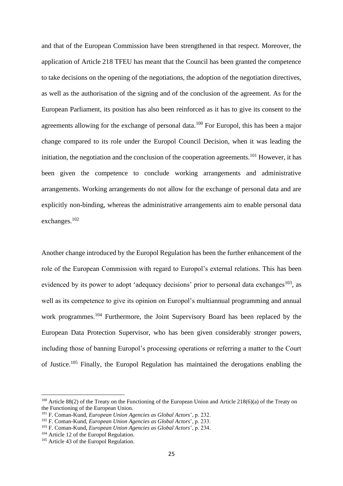and that of the European Commission have been strengthened in that respect. Moreover, the application of Article 218 TFEU has meant that the Council has been granted the competence to take decisions on the opening of the negotiations, the adoption of the negotiation directives, as well as the authorisation of the signing and of the conclusion of the agreement. As for the European Parliament, its position has also been reinforced as it has to give its consent to the agreements allowing for the exchange of personal data.<sup>100</sup> For Europol, this has been a major change compared to its role under the Europol Council Decision, when it was leading the initiation, the negotiation and the conclusion of the cooperation agreements.<sup>101</sup> However, it has been given the competence to conclude working arrangements and administrative arrangements. Working arrangements do not allow for the exchange of personal data and are explicitly non-binding, whereas the administrative arrangements aim to enable personal data exchanges.<sup>102</sup>

Another change introduced by the Europol Regulation has been the further enhancement of the role of the European Commission with regard to Europol's external relations. This has been evidenced by its power to adopt 'adequacy decisions' prior to personal data exchanges<sup>103</sup>, as well as its competence to give its opinion on Europol's multiannual programming and annual work programmes.<sup>104</sup> Furthermore, the Joint Supervisory Board has been replaced by the European Data Protection Supervisor, who has been given considerably stronger powers, including those of banning Europol's processing operations or referring a matter to the Court of Justice.<sup>105</sup> Finally, the Europol Regulation has maintained the derogations enabling the

<sup>&</sup>lt;sup>100</sup> Article 88(2) of the Treaty on the Functioning of the European Union and Article 218(6)(a) of the Treaty on the Functioning of the European Union.

<sup>101</sup> F. Coman-Kund, *European Union Agencies as Global Actors*', p. 232.

<sup>102</sup> F. Coman-Kund, *European Union Agencies as Global Actors*', p. 233.

<sup>103</sup> F. Coman-Kund, *European Union Agencies as Global Actors*', p. 234.

<sup>&</sup>lt;sup>104</sup> Article 12 of the Europol Regulation.

<sup>&</sup>lt;sup>105</sup> Article 43 of the Europol Regulation.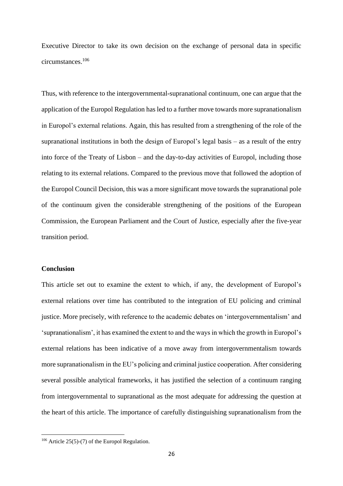Executive Director to take its own decision on the exchange of personal data in specific circumstances.<sup>106</sup>

Thus, with reference to the intergovernmental-supranational continuum, one can argue that the application of the Europol Regulation has led to a further move towards more supranationalism in Europol's external relations. Again, this has resulted from a strengthening of the role of the supranational institutions in both the design of Europol's legal basis – as a result of the entry into force of the Treaty of Lisbon – and the day-to-day activities of Europol, including those relating to its external relations. Compared to the previous move that followed the adoption of the Europol Council Decision, this was a more significant move towards the supranational pole of the continuum given the considerable strengthening of the positions of the European Commission, the European Parliament and the Court of Justice, especially after the five-year transition period.

### **Conclusion**

This article set out to examine the extent to which, if any, the development of Europol's external relations over time has contributed to the integration of EU policing and criminal justice. More precisely, with reference to the academic debates on 'intergovernmentalism' and 'supranationalism', it has examined the extent to and the ways in which the growth in Europol's external relations has been indicative of a move away from intergovernmentalism towards more supranationalism in the EU's policing and criminal justice cooperation. After considering several possible analytical frameworks, it has justified the selection of a continuum ranging from intergovernmental to supranational as the most adequate for addressing the question at the heart of this article. The importance of carefully distinguishing supranationalism from the

 $106$  Article 25(5)-(7) of the Europol Regulation.